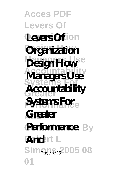**Acces PDF Levers Of Levers Ofion Organization** Design How <sup>e</sup> **Accountability Systems For Greater Accountability Systems For<sub>e</sub> And Greater Performance** By **Robert L And** Sim<sub>Page 1/35</sub>2005 08 **01 Managers Use**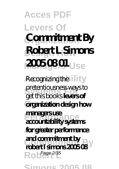**Acces PDF Levers Of Organization Commitment By Design How Robert L Simons 2005 08 01 Use** 

**Recognizing the ility** pretentiousness ways to **Greater organization design how Performance accountability systems And for greater performance** and communities by a set of simples and communities by a set of **B** R o  $\int$  Page 2/35 get this books **levers of managers use and commitment by**

**Simons 2005 08**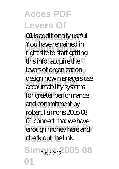**OI** is additionally useful. rounave remained in<br>
right site to start getting this info. acquire the e levers of organization design how managers use **Greater** for greater performance and commitment by **And** 01 connect that we have enough money here and check out the link. Sim<sub>Page 3/3</sub>2005 08 **01** You have remained in accountability systems robert l simons 2005 08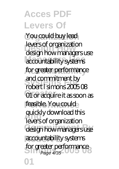You could buy lead **Design How** design how managers use accountability systems for greater performance and commitment by<br>robort Leimons 2005 **Greater** 01 or acquire it as soon as feasible. You could **And** levers of organization design how managers use accountability systems for greater performance **01** levers of organization robert I simons 200508 quickly download this Page 4/35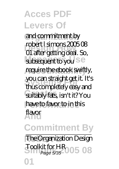and commitment by **Design How** 01 after getting deal. So, subsequent to you<sup>Se</sup> require the ebook swiftly, **Systems For** thus completely easy and **Greater** suitably fats, isn't it? You have to favor to in this **And** flavor  $m$ bert  $l$  simons  $2005$  $R$ you can straight get it. It's

**Commitment By The Organization Design Simple 5/35-005 08 01**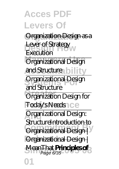**Acces PDF Levers Of Organization** Organization Design as a Lever of Strategy<br>Execution **Organizational Design** and Structure bility **Systems For** Organizational Design **Greater Contact Structure** Today's Needs Ce **And** Organizational Design: **Continuing Commitment By A Organizational Design MeanThat Principles of 3 01** Execution and Structure Structure<del>Introduction to</del>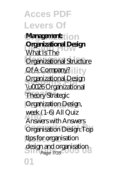**Acces PDF Levers Of Management: Organizational Design Organizational Structure Of A Company?** ility **Organizational Design**<br>Nu**COS** Organizational **Greater** Theory *Strategic* **Performance** *Organization Design,* **And** *week (1-6) All Quiz* **Organisation Design: Top** tips for organisation design and organisation<br>Page 7/35 **01** What Is The \u0026 Organizational *Answers with Answers* Page 7/35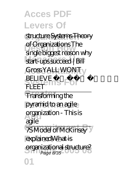structure <del>Systems Theory</del> **Design How** *single biggest reason why* **Managers Use** *start-ups succeed | Bill* of Organizations *The*

**Accountability** *Gross* YALL WONT **BELIEVE FOARREN** FLEET

**Greater** Transforming the pyramid to an agile

**And** organization - This is agile

**TSModel of McKinsey** 

**Robert L** explainedWhat is

**01**

**Simons 2016 organizational structure?**<br>Page 8/35 Page 8/35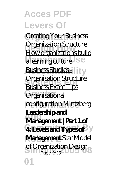**Acces PDF Levers Of Creating Your Business Design How** How organizations build a learning culture Se **Business Studies - lity Organisation Structure:**<br>Business Fram Tips **Greater** *Organisational* **Performance** *configuration Mintzberg* **And Management | Part 1 of**  $4$ **Levels and Types of** y **Management** *Star Model* **Simons 2005 08** *of Organization Design* **01** Organization Structure Business Exam Tips **Leadership and** Page 9/35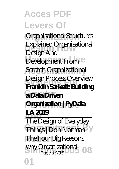**Organization** *Organisational Structures* **Design How** *Explained Organisational Development From*<sup>e</sup> **Accountability** *Scratch* Organizational **Systems For Franklin Sarkett: Building Greater a Data Driven** *<u>Organization</u>* | PyData **And** The Design of Everyday **Committee Company Robert L** *The Four Big Reasons* **Simons 2005 08** *why Organizational* Page 10/35**01** *Design And* Design Process Overview **LA 2019**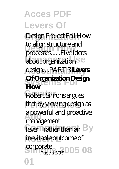**Acces PDF Levers Of Organization** *Design Project Fail* How **Design How** processes......Five ideas **about organization** Se **Accountability** design....PART 3 **Levers Of Organization Design**<br>Hour Robert Simons argues that by viewing design as **And** a powerful and proactive lever--rather than an By inevitable outcome of **Simons 2005 08** to align structure and **How** management Page 11/35

**01**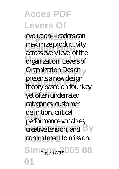evolution--leaders can maximize productivity<br>across every level of the organization. Levers of **Organization Design** presents a new design<br>theory homel on four yet often underrated categories: customer **And** performance variables, creative tension, and **By** commitment to mission. Sim<sub>Page 12/35</sub> 005 08 **01** maximize productivity theory based on four key definition, critical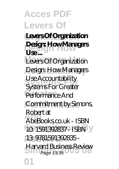**Organization Levers Of Organization Design How Design: How Managers**  $\mathbf{U}$ 

Levers Of Organization Design: How Managers Use Accountability<br>Systems For*C* motor Performance And Commitment by Simons, **And** AbeBooks.co.uk - ISBN 10: 1591392837 - ISBN **Robert L** 13: 9781591392835 - **Harvard Business Review**<br>Page 13/35 Systems For Greater Robert at Page 13/35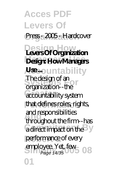**Acces PDF Levers Of** Press - 2005 - Hardcover **Design Howard Branch Managers Use Design: How Managers Ase** ountability **System** The design of an **Greater** accountability system that defines roles, rights, **And** and responsibilities a direct impact on the <sup>B</sup>y performance of every employee. Yet, few<br>Page 14/35 **01** organization--the throughout the firm--has Page 14/35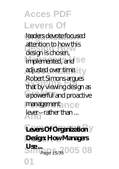leaders devote focused **Design How** design is chosen, implemented, and Se adjusted over time. **Systems For** that by viewing design as **Greater** a powerful and proactive management <sub>In Ce</sub> **And** lever--rather than ... attention to how this Robert Simons argues

 $Leves Of Organization$ **Design: How Managers Use**...<br>Simp<sub>age 15/35</sub>005 08 **01** Page 15/35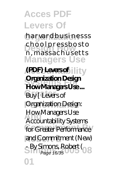h a r var d b u s i n e s s s **Design How** n , m a s s a c h u s e t t s **Managers Use** choolpressbosto

**(PDF) Levers of illity Systems For How Managers Use ...** Buy [ Levers of **Organization Design: How Managers Use** for Greater Performance and Commitment (New) **Simons, Robert (88)**<br>Page 16/35 **01 Organization Design** Accountability Systems Page 16/35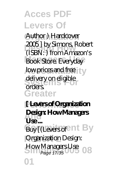Author ) Hardcover **Design How** (ISBN: ) from Amazon's Book Store. Everyday low prices and free **Ly** delivery on eligible **Greater** 2005 ] by Simons, Robert orders.

**Performance [ Levers of Organization** Desg<br>Use ... Buy [(Levers of ant By **Organization Design:** How Managers Use 08 **01 Design: How Managers** Page 17/35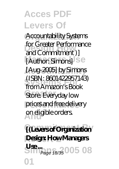Accountability Systems **Design Howard Commitment**)] [Author: Simons]<sup>Se</sup> **Accountability** [Aug-2005] by Simons **Systems For** from Amazon's Book Store. Everyday low prices and free delivery **And** on eligible orders. for Greater Performance (ISBN: 8601422957143)

**Commitment By [(Levers of Organization Design: How Managers Use**...<br>Simp<sub>age 18/35</sub>005 08 **01** Page 18/35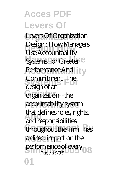**Organization** Levers Of Organization **Design How** Use Accountability Systems For Greater<sup>e</sup> Performance And Commitment. The **Greater** organization--the accountability system **And** and responsibilities throughout the firm-has a direct impact on the performance of every<br>Page 19/35 **01** Design : How Managers design of an that defines roles, rights, Page 19/35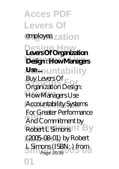**Acces PDF Levers Of** employee.zation **Design Howard Branch Managers Use Design : How Managers Ase** ountability **Systems For** Organization Design: How Managers Use Accountability Systems **And** And Commitment by Robert LSimons nt<sup>B</sup>y **Robert L** (2005-08-01) by Robert L Simons (ISBN: ) from<br>Page 20/35 **01** Buy Levers Of For Greater Performance Page 20/35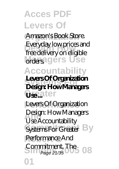Amazon's Book Store. **Design How** free delivery on eligible **Managers** Use **Accountability Systems For Design: How Managers Greater Use ...** Everyday low prices and **Levers Of Organization**

Levers Of Organization **And** Use Accountability Systems For Greater By Performance And **Sommitment. The**<br>Page 21/35 **01** Design: How Managers Page 21/35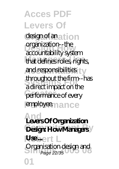**Acces PDF Levers Of** design of an<sub>ation</sub> **Digariizadori--die**<br>accountability system that defines roles, rights, and responsibilities **Systems For** a direct impact on the performance of every employee.nance organization--the throughout the firm--has

**And Levers Of Organization Design: How Managers R**sbert L Organisation design and<br>Page 22/35 **01** Page 22/35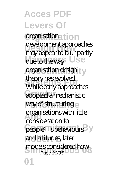**Organization** organisation development approaches<br>may appear to blur partly due to the way Use **Accountability Systems For** While early approaches adopted a mechanistic way of structuring **And** organisations with little people'<sup>n</sup>s behaviours<sup>B</sup>y and attitudes, later models considered how<br>Page 23/35 **01** development approaches theory has evolved. consideration to Page 23/35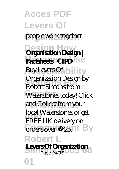**Acces PDF Levers Of** people work together. **Design Howard Design | Factsheets** CIPD<sup>Se</sup> **Buy Levers Of bility Systems For** Robert Simons from Waterstones today! Click **Performance** and Collect from your **Local Waterstones or get**<br>EPEE LLK delivers on Grders over £25.nt By **Robert L Levers Of Organization 01** Organization Design by FREE UK delivery on Page 24/35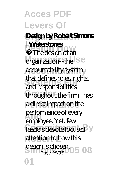**Acces PDF Levers Of Organization Design by Robert Simons Products**<br>The design of an organization--the Se **Accountability** accountability system **Systems For** that defines roles, rights, throughout the firm-has a direct impact on the **performance of every**<br>
<u>And</u> **performance** of every leaders devote focused attention to how this design is chosen, 05<br>Page 25/35 **01 | Waterstones** and responsibilities employee. Yet, few Page 25/35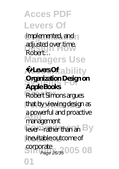implemented, and **Design How** adjusted over time. **Managers Use** Robert…

#### Adevers Oftability **Organization Design on Apple Books**

Robert Simons argues that by viewing design as **And** a powerful and proactive lever--rather than an By inevitable outcome of management

**Solution Corporate**<br> **Page 26/35** 005 08 Page 26/35

**01**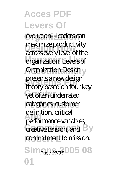evolution--leaders can maximize productivity<br>across every level of the organization. Levers of **Organization Design** presents a new design<br>theory homel on four yet often underrated categories: customer **And** performance variables, creative tension, and **By** commitment to mission. Sim<sub>Page 27/35</sub>005 08 **01** maximize productivity theory based on four key definition, critical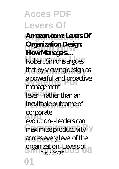**Acces PDF Levers Of Organization Amazon.com: Levers Of Diganzaion Designed Branch**<br>How Managers ... Robert Simons argues that by viewing design as **Systems For** a powerful and proactive lever-rather than an inevitable outcome of **Corporate** maximize productivity<sup>y</sup> across every level of the **Simons 2006**<br>Page 28/35 **01 Organization Design:** management evolution--leaders can Page 28/35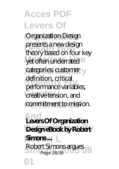**Organization** Organization Design presents a new design<br>theory based on four key yet often underrated e categories: customer **Systems For** performance variables, **Creative tension, and** commitment to mission. presents a new design definition, critical

**And Levers Of Organization** Design eBook by Robert Simons ... Robert Simons argues<br>Page 29/35 **01** Page 29/35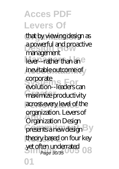that by viewing design as a powerful and proactive<br>
management lever--rather than an<sup>e</sup> inevitable outcome of **Systems For** evolution--leaders can maximize productivity across every level of the **And** organization. Levers of presents a new design<sup>B</sup>y theory based on four key yet often underrated<br>Page 30/35 **01** management corporate Organization Design Page 30/35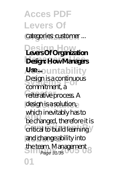**Acces PDF Levers Of** categories: customer ... **Design Howard Branch Managers Use Design: How Managers Ase** ountability Design is a continuous<br> **Commitment**<br>
<u>Commitment</u><br>  $\frac{1}{2}$ **Feiterative process A** design is a solution, which inevitably has to<br>
he changed therefore is **Critical to build learning** and change ability into the team. Management<br>Page 31/35 **01** commitment, a be changed, therefore it is Page 31/35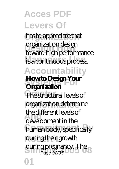has to appreciate that **Design How** toward high performance **Managers Use** is a continuous process. **Accountability How to Design Your** The structural levels of **Performance** organization determine **And** development in the human body, specifically during their growth during pregnancy. The<br>Page 32/35 organization design **Organization** the different levels of Page 32/35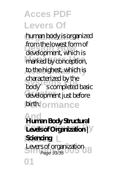**Organization** human body is organized **Design How** development, which is marked by conception, to the highest, which is characterized by the development just before *<u>Dirthformance</u>* from the lowest form of body's completed basic

**And Human Body Structural**  $\text{Levels of Organization}$ **Sciencing** Levers of organization<br>Page 33/35 **01** Page 33/35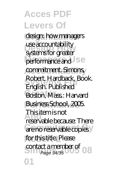design: how managers use accountability<br>systems for greater performance and **J** se commitment. Simons, **Systems For** English. Published Boston, Mass.: Harvard **Business School, 2005. And** reservable because: There are no reservable copies for this title. Please contact a member of **08 01** use accountability Robert. Hardback, Book. This item is not Page 34/35